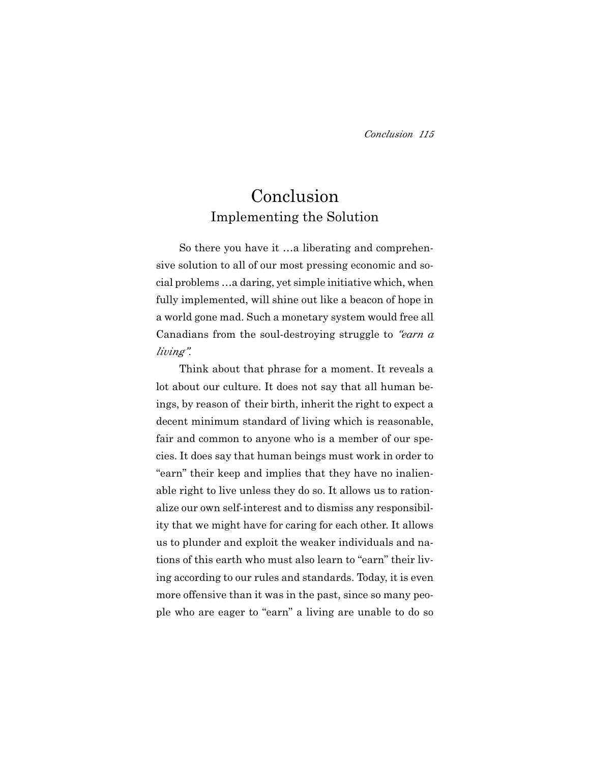# Conclusion Implementing the Solution

So there you have it …a liberating and comprehensive solution to all of our most pressing economic and social problems …a daring, yet simple initiative which, when fully implemented, will shine out like a beacon of hope in a world gone mad. Such a monetary system would free all Canadians from the soul-destroying struggle to *"earn a living"*.

Think about that phrase for a moment. It reveals a lot about our culture. It does not say that all human beings, by reason of their birth, inherit the right to expect a decent minimum standard of living which is reasonable, fair and common to anyone who is a member of our species. It does say that human beings must work in order to "earn" their keep and implies that they have no inalienable right to live unless they do so. It allows us to rationalize our own self-interest and to dismiss any responsibility that we might have for caring for each other. It allows us to plunder and exploit the weaker individuals and nations of this earth who must also learn to "earn" their living according to our rules and standards. Today, it is even more offensive than it was in the past, since so many people who are eager to "earn" a living are unable to do so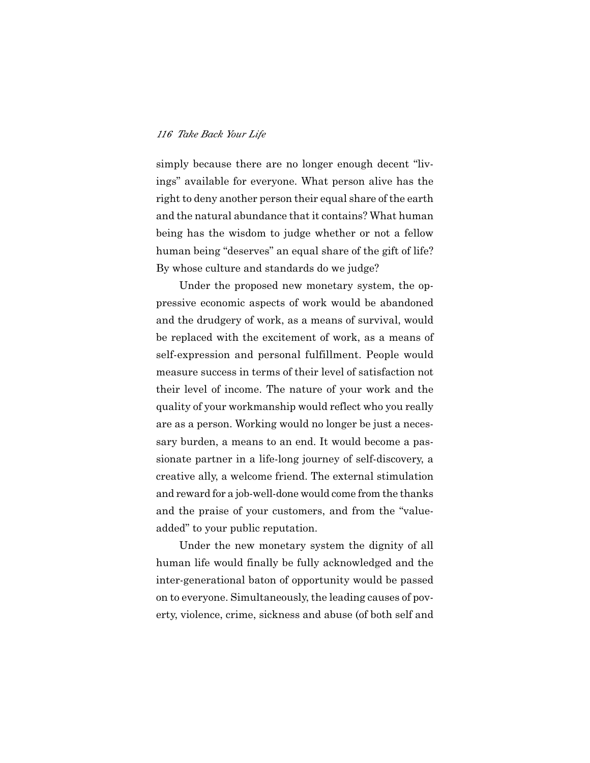simply because there are no longer enough decent "livings" available for everyone. What person alive has the right to deny another person their equal share of the earth and the natural abundance that it contains? What human being has the wisdom to judge whether or not a fellow human being "deserves" an equal share of the gift of life? By whose culture and standards do we judge?

Under the proposed new monetary system, the oppressive economic aspects of work would be abandoned and the drudgery of work, as a means of survival, would be replaced with the excitement of work, as a means of self-expression and personal fulfillment. People would measure success in terms of their level of satisfaction not their level of income. The nature of your work and the quality of your workmanship would reflect who you really are as a person. Working would no longer be just a necessary burden, a means to an end. It would become a passionate partner in a life-long journey of self-discovery, a creative ally, a welcome friend. The external stimulation and reward for a job-well-done would come from the thanks and the praise of your customers, and from the "valueadded" to your public reputation.

Under the new monetary system the dignity of all human life would finally be fully acknowledged and the inter-generational baton of opportunity would be passed on to everyone. Simultaneously, the leading causes of poverty, violence, crime, sickness and abuse (of both self and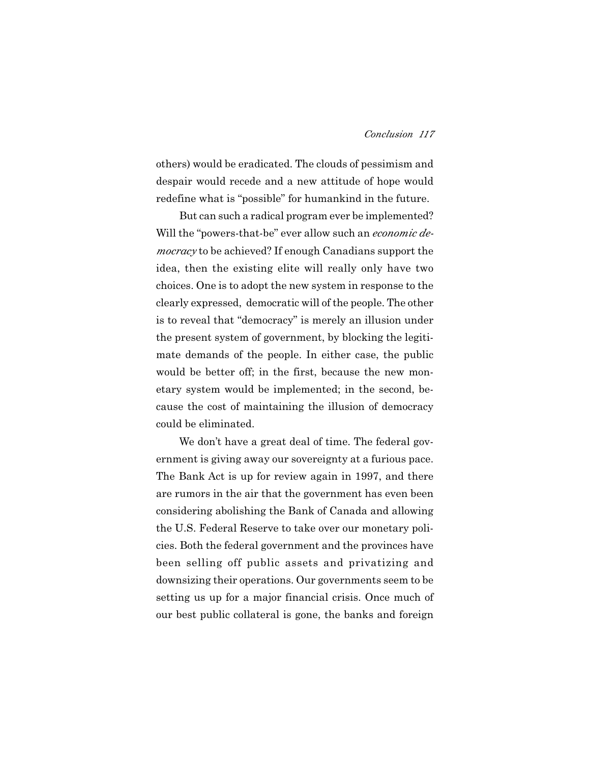### *Conclusion 117*

others) would be eradicated. The clouds of pessimism and despair would recede and a new attitude of hope would redefine what is "possible" for humankind in the future.

But can such a radical program ever be implemented? Will the "powers-that-be" ever allow such an *economic democracy* to be achieved? If enough Canadians support the idea, then the existing elite will really only have two choices. One is to adopt the new system in response to the clearly expressed, democratic will of the people. The other is to reveal that "democracy" is merely an illusion under the present system of government, by blocking the legitimate demands of the people. In either case, the public would be better off; in the first, because the new monetary system would be implemented; in the second, because the cost of maintaining the illusion of democracy could be eliminated.

We don't have a great deal of time. The federal government is giving away our sovereignty at a furious pace. The Bank Act is up for review again in 1997, and there are rumors in the air that the government has even been considering abolishing the Bank of Canada and allowing the U.S. Federal Reserve to take over our monetary policies. Both the federal government and the provinces have been selling off public assets and privatizing and downsizing their operations. Our governments seem to be setting us up for a major financial crisis. Once much of our best public collateral is gone, the banks and foreign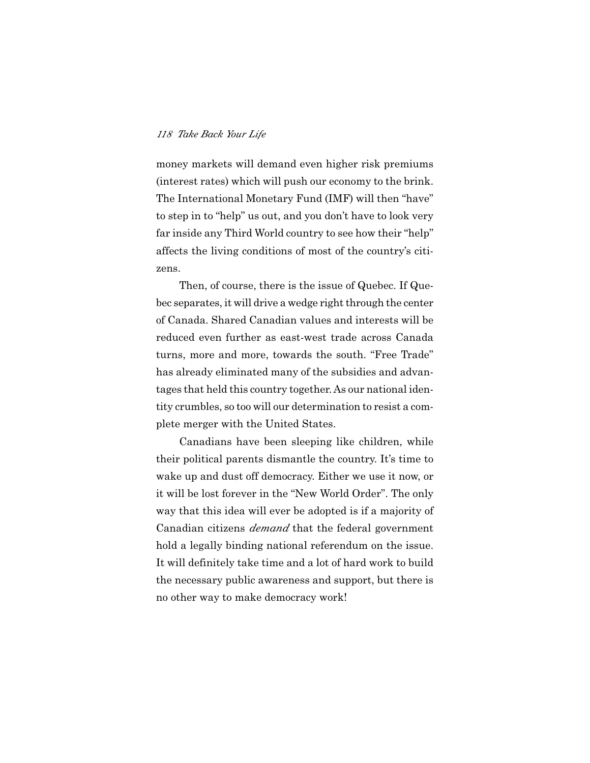money markets will demand even higher risk premiums (interest rates) which will push our economy to the brink. The International Monetary Fund (IMF) will then "have" to step in to "help" us out, and you don't have to look very far inside any Third World country to see how their "help" affects the living conditions of most of the country's citizens.

Then, of course, there is the issue of Quebec. If Quebec separates, it will drive a wedge right through the center of Canada. Shared Canadian values and interests will be reduced even further as east-west trade across Canada turns, more and more, towards the south. "Free Trade" has already eliminated many of the subsidies and advantages that held this country together. As our national identity crumbles, so too will our determination to resist a complete merger with the United States.

Canadians have been sleeping like children, while their political parents dismantle the country. It's time to wake up and dust off democracy. Either we use it now, or it will be lost forever in the "New World Order". The only way that this idea will ever be adopted is if a majority of Canadian citizens *demand* that the federal government hold a legally binding national referendum on the issue. It will definitely take time and a lot of hard work to build the necessary public awareness and support, but there is no other way to make democracy work!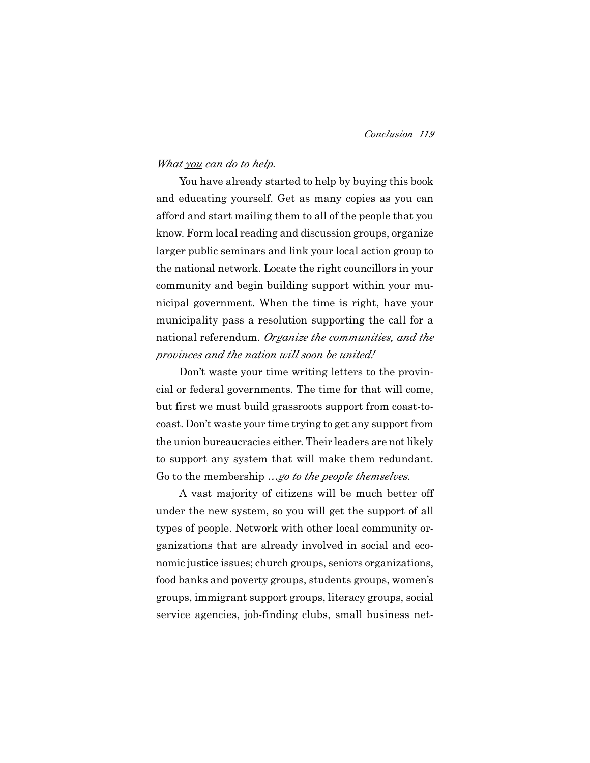# *What you can do to help.*

You have already started to help by buying this book and educating yourself. Get as many copies as you can afford and start mailing them to all of the people that you know. Form local reading and discussion groups, organize larger public seminars and link your local action group to the national network. Locate the right councillors in your community and begin building support within your municipal government. When the time is right, have your municipality pass a resolution supporting the call for a national referendum. *Organize the communities, and the provinces and the nation will soon be united!*

Don't waste your time writing letters to the provincial or federal governments. The time for that will come, but first we must build grassroots support from coast-tocoast. Don't waste your time trying to get any support from the union bureaucracies either. Their leaders are not likely to support any system that will make them redundant. Go to the membership *…go to the people themselves*.

A vast majority of citizens will be much better off under the new system, so you will get the support of all types of people. Network with other local community organizations that are already involved in social and economic justice issues; church groups, seniors organizations, food banks and poverty groups, students groups, women's groups, immigrant support groups, literacy groups, social service agencies, job-finding clubs, small business net-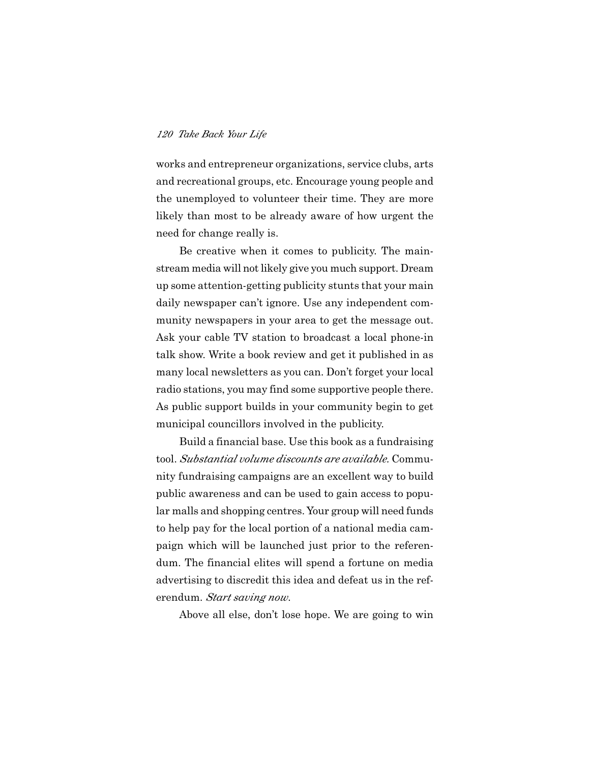works and entrepreneur organizations, service clubs, arts and recreational groups, etc. Encourage young people and the unemployed to volunteer their time. They are more likely than most to be already aware of how urgent the need for change really is.

Be creative when it comes to publicity. The mainstream media will not likely give you much support. Dream up some attention-getting publicity stunts that your main daily newspaper can't ignore. Use any independent community newspapers in your area to get the message out. Ask your cable TV station to broadcast a local phone-in talk show. Write a book review and get it published in as many local newsletters as you can. Don't forget your local radio stations, you may find some supportive people there. As public support builds in your community begin to get municipal councillors involved in the publicity.

Build a financial base. Use this book as a fundraising tool. *Substantial volume discounts are available.* Community fundraising campaigns are an excellent way to build public awareness and can be used to gain access to popular malls and shopping centres. Your group will need funds to help pay for the local portion of a national media campaign which will be launched just prior to the referendum. The financial elites will spend a fortune on media advertising to discredit this idea and defeat us in the referendum. *Start saving now*.

Above all else, don't lose hope. We are going to win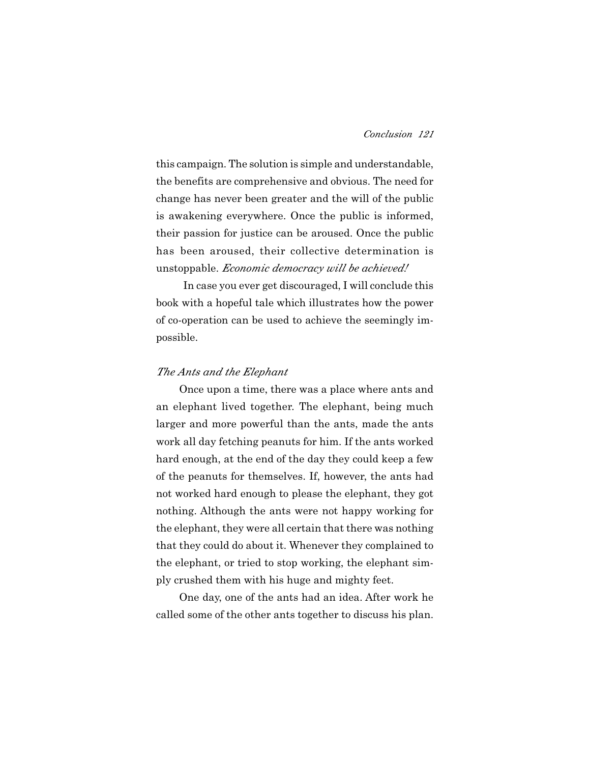this campaign. The solution is simple and understandable, the benefits are comprehensive and obvious. The need for change has never been greater and the will of the public is awakening everywhere. Once the public is informed, their passion for justice can be aroused. Once the public has been aroused, their collective determination is unstoppable. *Economic democracy will be achieved!*

In case you ever get discouraged, I will conclude this book with a hopeful tale which illustrates how the power of co-operation can be used to achieve the seemingly impossible.

## *The Ants and the Elephant*

Once upon a time, there was a place where ants and an elephant lived together. The elephant, being much larger and more powerful than the ants, made the ants work all day fetching peanuts for him. If the ants worked hard enough, at the end of the day they could keep a few of the peanuts for themselves. If, however, the ants had not worked hard enough to please the elephant, they got nothing. Although the ants were not happy working for the elephant, they were all certain that there was nothing that they could do about it. Whenever they complained to the elephant, or tried to stop working, the elephant simply crushed them with his huge and mighty feet.

One day, one of the ants had an idea. After work he called some of the other ants together to discuss his plan.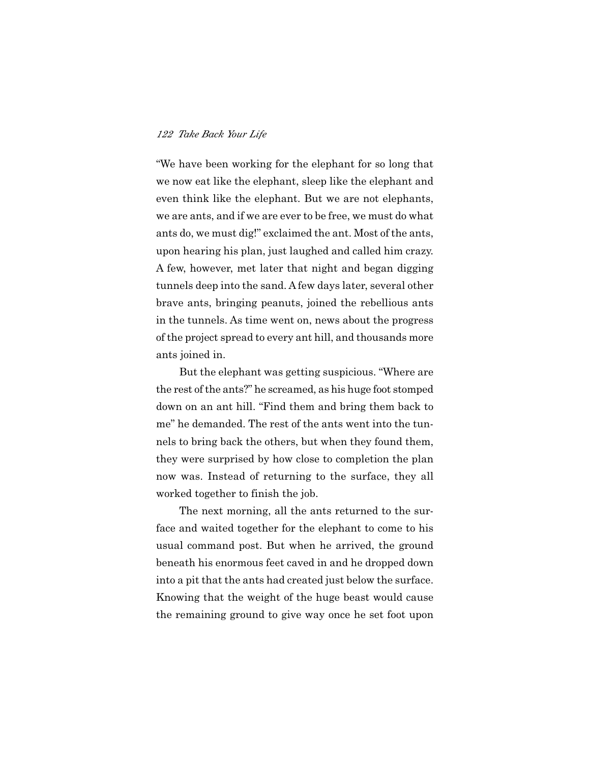"We have been working for the elephant for so long that we now eat like the elephant, sleep like the elephant and even think like the elephant. But we are not elephants, we are ants, and if we are ever to be free, we must do what ants do, we must dig!" exclaimed the ant. Most of the ants, upon hearing his plan, just laughed and called him crazy. A few, however, met later that night and began digging tunnels deep into the sand. A few days later, several other brave ants, bringing peanuts, joined the rebellious ants in the tunnels. As time went on, news about the progress of the project spread to every ant hill, and thousands more ants joined in.

But the elephant was getting suspicious. "Where are the rest of the ants?" he screamed, as his huge foot stomped down on an ant hill. "Find them and bring them back to me" he demanded. The rest of the ants went into the tunnels to bring back the others, but when they found them, they were surprised by how close to completion the plan now was. Instead of returning to the surface, they all worked together to finish the job.

The next morning, all the ants returned to the surface and waited together for the elephant to come to his usual command post. But when he arrived, the ground beneath his enormous feet caved in and he dropped down into a pit that the ants had created just below the surface. Knowing that the weight of the huge beast would cause the remaining ground to give way once he set foot upon